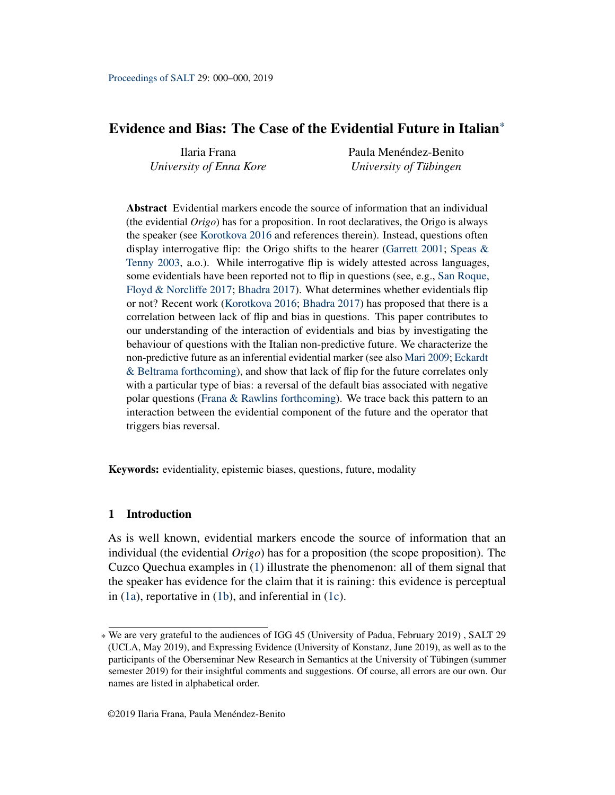# <span id="page-0-0"></span>Evidence and Bias: The Case of the Evidential Future in Italian\*

Ilaria Frana *University of Enna Kore* Paula Menéndez-Benito *University of Tübingen*

Abstract Evidential markers encode the source of information that an individual (the evidential *Origo*) has for a proposition. In root declaratives, the Origo is always the speaker (see [Korotkova](#page-19-0) [2016](#page-19-0) and references therein). Instead, questions often display interrogative flip: the Origo shifts to the hearer [\(Garrett](#page-18-0) [2001;](#page-18-0) Speas  $\&$ [Tenny](#page-20-0) [2003,](#page-20-0) a.o.). While interrogative flip is widely attested across languages, some evidentials have been reported not to flip in questions (see, e.g., [San Roque,](#page-19-1) [Floyd & Norcliffe](#page-19-1) [2017;](#page-19-1) [Bhadra](#page-18-1) [2017\)](#page-18-1). What determines whether evidentials flip or not? Recent work [\(Korotkova](#page-19-0) [2016;](#page-19-0) [Bhadra](#page-18-1) [2017\)](#page-18-1) has proposed that there is a correlation between lack of flip and bias in questions. This paper contributes to our understanding of the interaction of evidentials and bias by investigating the behaviour of questions with the Italian non-predictive future. We characterize the non-predictive future as an inferential evidential marker (see also [Mari](#page-19-2) [2009;](#page-19-2) [Eckardt](#page-18-2) [& Beltrama](#page-18-2) [forthcoming\)](#page-18-2), and show that lack of flip for the future correlates only with a particular type of bias: a reversal of the default bias associated with negative polar questions [\(Frana & Rawlins](#page-18-3) [forthcoming\)](#page-18-3). We trace back this pattern to an interaction between the evidential component of the future and the operator that triggers bias reversal.

Keywords: evidentiality, epistemic biases, questions, future, modality

### 1 Introduction

As is well known, evidential markers encode the source of information that an individual (the evidential *Origo*) has for a proposition (the scope proposition). The Cuzco Quechua examples in [\(1\)](#page-1-0) illustrate the phenomenon: all of them signal that the speaker has evidence for the claim that it is raining: this evidence is perceptual in [\(1a\)](#page-1-0), reportative in [\(1b\)](#page-1-1), and inferential in [\(1c\)](#page-1-2).

<sup>\*</sup> We are very grateful to the audiences of IGG 45 (University of Padua, February 2019) , SALT 29 (UCLA, May 2019), and Expressing Evidence (University of Konstanz, June 2019), as well as to the participants of the Oberseminar New Research in Semantics at the University of Tübingen (summer semester 2019) for their insightful comments and suggestions. Of course, all errors are our own. Our names are listed in alphabetical order.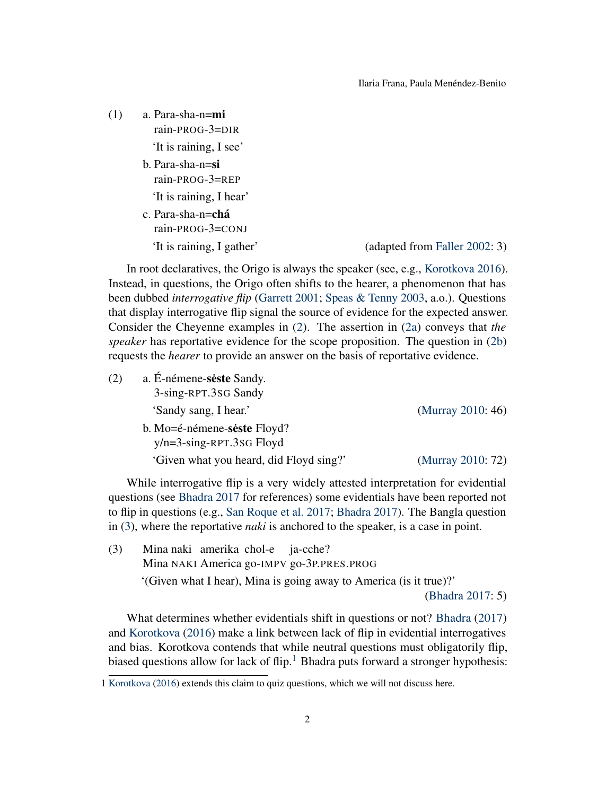Ilaria Frana, Paula Menéndez-Benito

<span id="page-1-1"></span><span id="page-1-0"></span>

| (1) | a. Para-sha-n=mi<br>rain-PROG-3=DIR    |                               |
|-----|----------------------------------------|-------------------------------|
|     | 'It is raining, I see'                 |                               |
|     | b. Para-sha-n=si<br>$rain$ -PROG-3=REP |                               |
|     | 'It is raining, I hear'                |                               |
|     | c. Para-sha-n=chá<br>rain-PROG-3=CONJ  |                               |
|     | 'It is raining, I gather'              | (adapted from Faller 2002: 3) |

<span id="page-1-2"></span>In root declaratives, the Origo is always the speaker (see, e.g., [Korotkova](#page-19-0) [2016\)](#page-19-0). Instead, in questions, the Origo often shifts to the hearer, a phenomenon that has been dubbed *interrogative flip* [\(Garrett](#page-18-0) [2001;](#page-18-0) [Speas & Tenny](#page-20-0) [2003,](#page-20-0) a.o.). Questions that display interrogative flip signal the source of evidence for the expected answer. Consider the Cheyenne examples in [\(2\)](#page-1-3). The assertion in [\(2a\)](#page-1-3) conveys that *the speaker* has reportative evidence for the scope proposition. The question in [\(2b\)](#page-1-4) requests the *hearer* to provide an answer on the basis of reportative evidence.

<span id="page-1-4"></span><span id="page-1-3"></span>

| (2) | a. É-némene-seste Sandy.<br>3-sing-RPT.3SG Sandy |                   |  |
|-----|--------------------------------------------------|-------------------|--|
|     | 'Sandy sang, I hear.'                            | (Murray 2010: 46) |  |
|     | b. Mo=é-némene-seste Floyd?                      |                   |  |
|     | $y/n = 3-sing-RPT.3SG Floyd$                     |                   |  |
|     | 'Given what you heard, did Floyd sing?'          | (Murray 2010: 72) |  |

While interrogative flip is a very widely attested interpretation for evidential questions (see [Bhadra](#page-18-1) [2017](#page-18-1) for references) some evidentials have been reported not to flip in questions (e.g., [San Roque et al.](#page-19-1) [2017;](#page-19-1) [Bhadra](#page-18-1) [2017\)](#page-18-1). The Bangla question in [\(3\)](#page-1-5), where the reportative *naki* is anchored to the speaker, is a case in point.

<span id="page-1-5"></span>(3) Mina naki amerika chol-e ja-cche? Mina NAKI America go-IMPV go-3P.PRES.PROG '(Given what I hear), Mina is going away to America (is it true)?'

[\(Bhadra](#page-18-1) [2017:](#page-18-1) 5)

What determines whether evidentials shift in questions or not? [Bhadra](#page-18-1) [\(2017\)](#page-18-1) and [Korotkova](#page-19-0) [\(2016\)](#page-19-0) make a link between lack of flip in evidential interrogatives and bias. Korotkova contends that while neutral questions must obligatorily flip, biased questions allow for lack of flip.<sup>[1](#page-0-0)</sup> Bhadra puts forward a stronger hypothesis:

<sup>1</sup> [Korotkova](#page-19-0) [\(2016\)](#page-19-0) extends this claim to quiz questions, which we will not discuss here.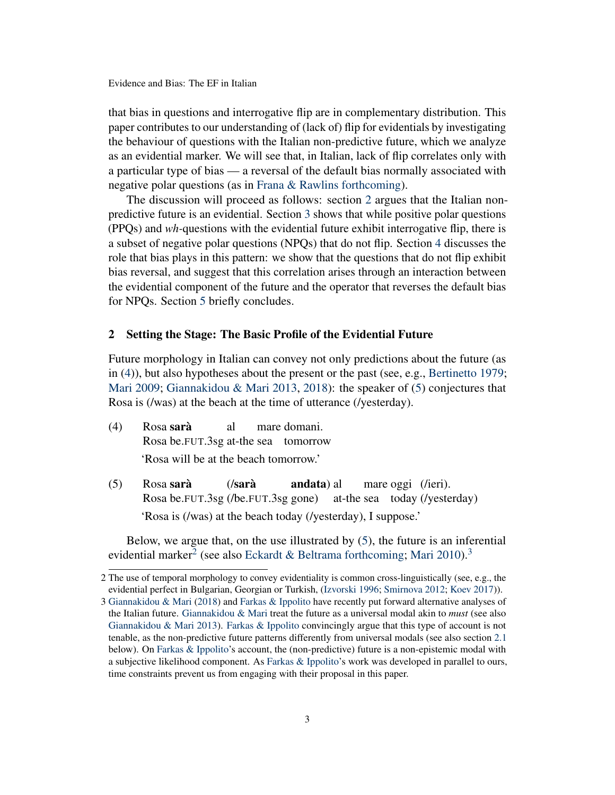that bias in questions and interrogative flip are in complementary distribution. This paper contributes to our understanding of (lack of) flip for evidentials by investigating the behaviour of questions with the Italian non-predictive future, which we analyze as an evidential marker. We will see that, in Italian, lack of flip correlates only with a particular type of bias — a reversal of the default bias normally associated with negative polar questions (as in [Frana & Rawlins](#page-18-3) [forthcoming\)](#page-18-3).

The discussion will proceed as follows: section [2](#page-2-0) argues that the Italian nonpredictive future is an evidential. Section [3](#page-8-0) shows that while positive polar questions (PPQs) and *wh-*questions with the evidential future exhibit interrogative flip, there is a subset of negative polar questions (NPQs) that do not flip. Section [4](#page-10-0) discusses the role that bias plays in this pattern: we show that the questions that do not flip exhibit bias reversal, and suggest that this correlation arises through an interaction between the evidential component of the future and the operator that reverses the default bias for NPQs. Section [5](#page-17-0) briefly concludes.

# <span id="page-2-0"></span>2 Setting the Stage: The Basic Profile of the Evidential Future

Future morphology in Italian can convey not only predictions about the future (as in [\(4\)](#page-2-1)), but also hypotheses about the present or the past (see, e.g., [Bertinetto](#page-17-1) [1979;](#page-17-1) [Mari](#page-19-2) [2009;](#page-19-2) [Giannakidou & Mari](#page-18-5) [2013,](#page-18-5) [2018\)](#page-18-6): the speaker of [\(5\)](#page-2-2) conjectures that Rosa is (/was) at the beach at the time of utterance (/yesterday).

- <span id="page-2-1"></span>(4) Rosa sarà Rosa be.FUT.3sg at-the sea tomorrow al mare domani. 'Rosa will be at the beach tomorrow.'
- <span id="page-2-2"></span>(5) Rosa sarà Rosa be.FUT.3sg (/be.FUT.3sg gone) (/sarà andata) al at-the sea today (/yesterday) mare oggi (/ieri). 'Rosa is (/was) at the beach today (/yesterday), I suppose.'

Below, we argue that, on the use illustrated by [\(5\)](#page-2-2), the future is an inferential evidential marker<sup>[2](#page-0-0)</sup> (see also [Eckardt & Beltrama](#page-18-2) [forthcoming;](#page-18-2) [Mari](#page-19-4) [2010\)](#page-19-4).<sup>[3](#page-0-0)</sup>

<sup>2</sup> The use of temporal morphology to convey evidentiality is common cross-linguistically (see, e.g., the evidential perfect in Bulgarian, Georgian or Turkish, [\(Izvorski](#page-18-7) [1996;](#page-18-7) [Smirnova](#page-19-5) [2012;](#page-19-5) [Koev](#page-19-6) [2017\)](#page-19-6)).

<sup>3</sup> [Giannakidou & Mari](#page-18-6) [\(2018\)](#page-18-6) and [Farkas & Ippolito](#page-18-8) have recently put forward alternative analyses of the Italian future. [Giannakidou & Mari](#page-18-6) treat the future as a universal modal akin to *must* (see also [Giannakidou & Mari](#page-18-5) [2013\)](#page-18-5). [Farkas & Ippolito](#page-18-8) convincingly argue that this type of account is not tenable, as the non-predictive future patterns differently from universal modals (see also section [2.1](#page-3-0) below). On [Farkas & Ippolito'](#page-18-8)s account, the (non-predictive) future is a non-epistemic modal with a subjective likelihood component. As [Farkas & Ippolito'](#page-18-8)s work was developed in parallel to ours, time constraints prevent us from engaging with their proposal in this paper.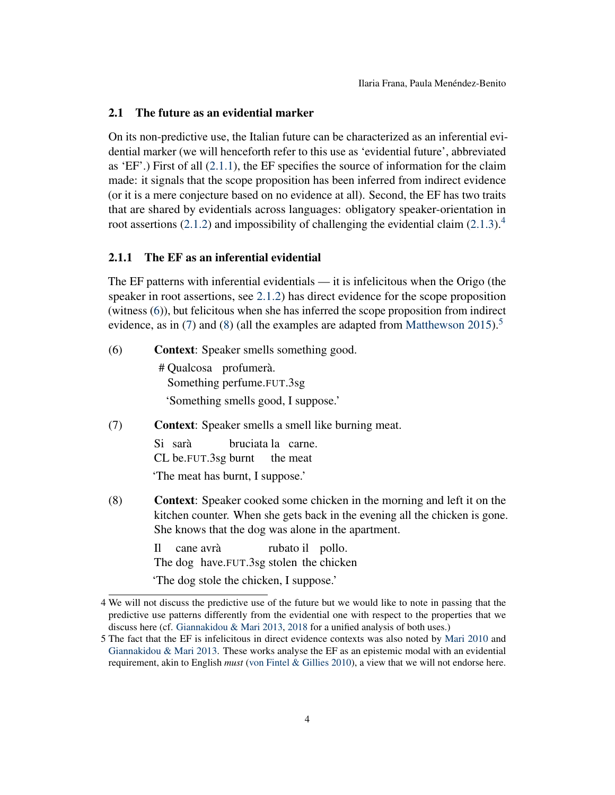### <span id="page-3-0"></span>2.1 The future as an evidential marker

On its non-predictive use, the Italian future can be characterized as an inferential evidential marker (we will henceforth refer to this use as 'evidential future', abbreviated as 'EF'.) First of all [\(2.1.1\)](#page-3-1), the EF specifies the source of information for the claim made: it signals that the scope proposition has been inferred from indirect evidence (or it is a mere conjecture based on no evidence at all). Second, the EF has two traits that are shared by evidentials across languages: obligatory speaker-orientation in root assertions [\(2.1.2\)](#page-5-0) and impossibility of challenging the evidential claim [\(2.1.3\)](#page-6-0).<sup>[4](#page-0-0)</sup>

#### <span id="page-3-1"></span>2.1.1 The EF as an inferential evidential

The EF patterns with inferential evidentials — it is infelicitous when the Origo (the speaker in root assertions, see [2.1.2\)](#page-5-0) has direct evidence for the scope proposition (witness [\(6\)](#page-3-2)), but felicitous when she has inferred the scope proposition from indirect evidence, as in [\(7\)](#page-3-3) and [\(8\)](#page-3-4) (all the examples are adapted from [Matthewson](#page-19-7) [2015\)](#page-19-7).<sup>[5](#page-0-0)</sup>

<span id="page-3-2"></span>(6) Context: Speaker smells something good.

# Qualcosa profumerà. Something perfume.FUT.3sg 'Something smells good, I suppose.'

- <span id="page-3-3"></span>(7) Context: Speaker smells a smell like burning meat. Si sarà CL be.FUT.3sg burnt bruciata la carne. the meat 'The meat has burnt, I suppose.'
- <span id="page-3-4"></span>(8) Context: Speaker cooked some chicken in the morning and left it on the kitchen counter. When she gets back in the evening all the chicken is gone. She knows that the dog was alone in the apartment.

Il The dog have.FUT.3sg stolen the chicken cane avrà rubato il pollo. 'The dog stole the chicken, I suppose.'

<sup>4</sup> We will not discuss the predictive use of the future but we would like to note in passing that the predictive use patterns differently from the evidential one with respect to the properties that we discuss here (cf. [Giannakidou & Mari](#page-18-5) [2013,](#page-18-5) [2018](#page-18-6) for a unified analysis of both uses.)

<sup>5</sup> The fact that the EF is infelicitous in direct evidence contexts was also noted by [Mari](#page-19-4) [2010](#page-19-4) and [Giannakidou & Mari](#page-18-5) [2013.](#page-18-5) These works analyse the EF as an epistemic modal with an evidential requirement, akin to English *must* [\(von Fintel & Gillies](#page-18-9) [2010\)](#page-18-9), a view that we will not endorse here.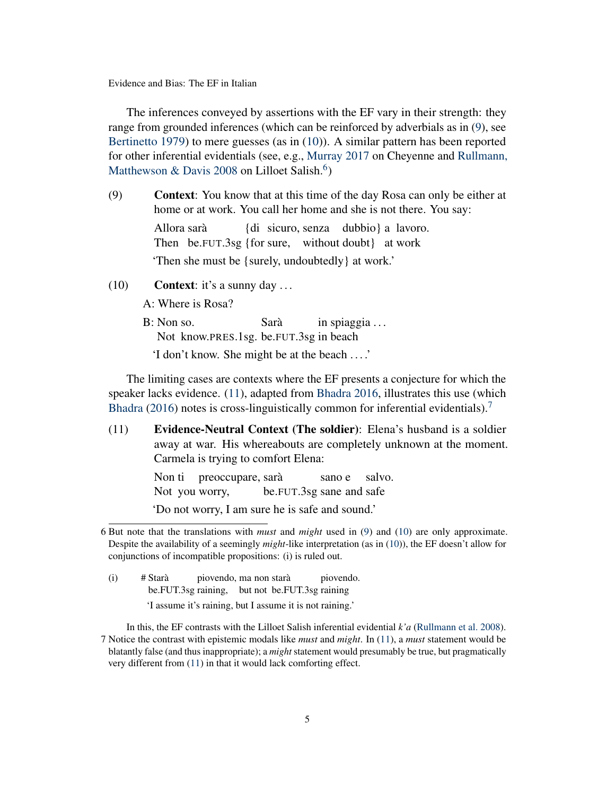The inferences conveyed by assertions with the EF vary in their strength: they range from grounded inferences (which can be reinforced by adverbials as in [\(9\)](#page-4-0), see [Bertinetto](#page-17-1) [1979\)](#page-17-1) to mere guesses (as in [\(10\)](#page-4-1)). A similar pattern has been reported for other inferential evidentials (see, e.g., [Murray](#page-19-8) [2017](#page-19-8) on Cheyenne and [Rullmann,](#page-19-9) [Matthewson & Davis](#page-19-9) [2008](#page-19-9) on Lilloet Salish.<sup>[6](#page-0-0)</sup>)

<span id="page-4-0"></span>(9) Context: You know that at this time of the day Rosa can only be either at home or at work. You call her home and she is not there. You say: Allora sarà Then be.FUT.3sg {for sure, without doubt} at work {di sicuro, senza dubbio} a lavoro. 'Then she must be {surely, undoubtedly} at work.'

<span id="page-4-1"></span>(10) **Context:** it's a sunny day  $\ldots$ 

A: Where is Rosa?

B: Non so. Not know.PRES.1sg. be.FUT.3sg in beach Sarà in spiaggia . . .

'I don't know. She might be at the beach . . . .'

The limiting cases are contexts where the EF presents a conjecture for which the speaker lacks evidence. [\(11\)](#page-4-2), adapted from [Bhadra](#page-18-10) [2016,](#page-18-10) illustrates this use (which [Bhadra](#page-18-10) [\(2016\)](#page-18-10) notes is cross-linguistically common for inferential evidentials).<sup>[7](#page-0-0)</sup>

<span id="page-4-2"></span>(11) Evidence-Neutral Context (The soldier): Elena's husband is a soldier away at war. His whereabouts are completely unknown at the moment. Carmela is trying to comfort Elena:

> Non ti preoccupare, sarà Not you worry, be.FUT.3sg sane and safe sano e salvo.

'Do not worry, I am sure he is safe and sound.'

 $(i)$  # Starà be.FUT.3sg raining, but not be.FUT.3sg raining piovendo, ma non starà piovendo. 'I assume it's raining, but I assume it is not raining.'

In this, the EF contrasts with the Lilloet Salish inferential evidential *k'a* [\(Rullmann et al.](#page-19-9) [2008\)](#page-19-9). 7 Notice the contrast with epistemic modals like *must* and *might*. In [\(11\)](#page-4-2), a *must* statement would be blatantly false (and thus inappropriate); a *might* statement would presumably be true, but pragmatically very different from [\(11\)](#page-4-2) in that it would lack comforting effect.

<sup>6</sup> But note that the translations with *must* and *might* used in [\(9\)](#page-4-0) and [\(10\)](#page-4-1) are only approximate. Despite the availability of a seemingly *might*-like interpretation (as in [\(10\)](#page-4-1)), the EF doesn't allow for conjunctions of incompatible propositions: (i) is ruled out.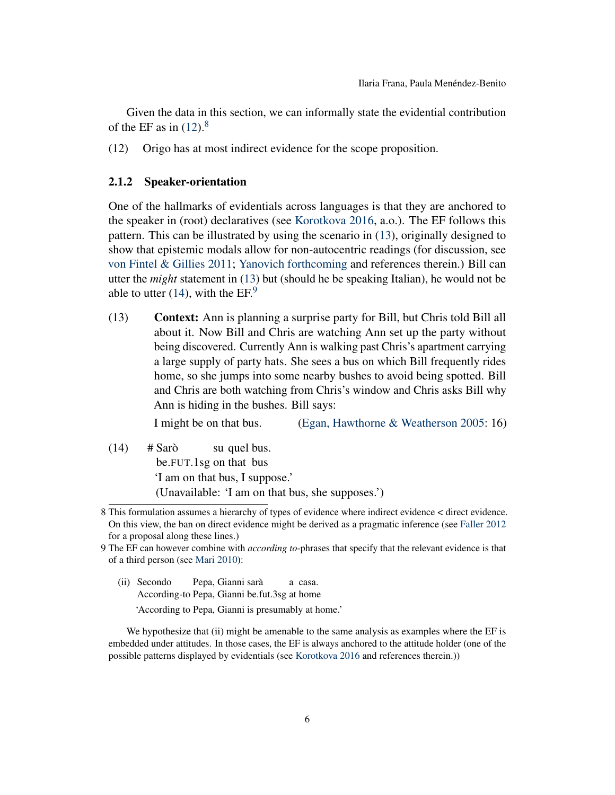Given the data in this section, we can informally state the evidential contribution of the EF as in  $(12).8$  $(12).8$  $(12).8$ 

<span id="page-5-1"></span>(12) Origo has at most indirect evidence for the scope proposition.

### <span id="page-5-0"></span>2.1.2 Speaker-orientation

One of the hallmarks of evidentials across languages is that they are anchored to the speaker in (root) declaratives (see [Korotkova](#page-19-0) [2016,](#page-19-0) a.o.). The EF follows this pattern. This can be illustrated by using the scenario in [\(13\)](#page-5-2), originally designed to show that epistemic modals allow for non-autocentric readings (for discussion, see [von Fintel & Gillies](#page-18-11) [2011;](#page-18-11) [Yanovich](#page-20-1) [forthcoming](#page-20-1) and references therein.) Bill can utter the *might* statement in [\(13\)](#page-5-2) but (should he be speaking Italian), he would not be able to utter [\(14\)](#page-5-3), with the  $EF^9$  $EF^9$ .

<span id="page-5-2"></span>(13) Context: Ann is planning a surprise party for Bill, but Chris told Bill all about it. Now Bill and Chris are watching Ann set up the party without being discovered. Currently Ann is walking past Chris's apartment carrying a large supply of party hats. She sees a bus on which Bill frequently rides home, so she jumps into some nearby bushes to avoid being spotted. Bill and Chris are both watching from Chris's window and Chris asks Bill why Ann is hiding in the bushes. Bill says:

I might be on that bus. [\(Egan, Hawthorne & Weatherson](#page-18-12) [2005:](#page-18-12) 16)

<span id="page-5-3"></span> $(14)$  # Sarò be.FUT.1sg on that bus su quel bus. 'I am on that bus, I suppose.' (Unavailable: 'I am on that bus, she supposes.')

(ii) Secondo According-to Pepa, Gianni be.fut.3sg at home Pepa, Gianni sarà a casa.

'According to Pepa, Gianni is presumably at home.'

We hypothesize that (ii) might be amenable to the same analysis as examples where the EF is embedded under attitudes. In those cases, the EF is always anchored to the attitude holder (one of the possible patterns displayed by evidentials (see [Korotkova](#page-19-0) [2016](#page-19-0) and references therein.))

<sup>8</sup> This formulation assumes a hierarchy of types of evidence where indirect evidence < direct evidence. On this view, the ban on direct evidence might be derived as a pragmatic inference (see [Faller](#page-18-13) [2012](#page-18-13) for a proposal along these lines.)

<sup>9</sup> The EF can however combine with *according to*-phrases that specify that the relevant evidence is that of a third person (see [Mari](#page-19-4) [2010\)](#page-19-4):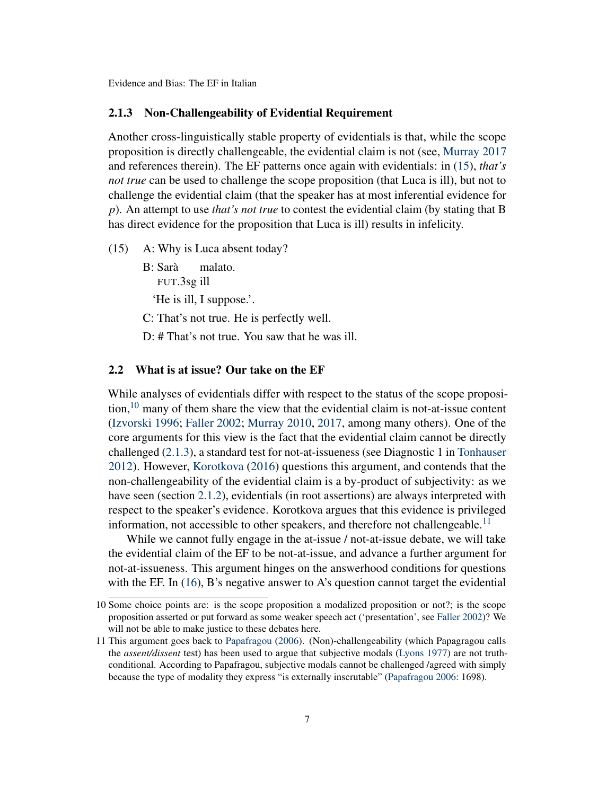### <span id="page-6-0"></span>2.1.3 Non-Challengeability of Evidential Requirement

Another cross-linguistically stable property of evidentials is that, while the scope proposition is directly challengeable, the evidential claim is not (see, [Murray](#page-19-8) [2017](#page-19-8) and references therein). The EF patterns once again with evidentials: in [\(15\)](#page-6-1), *that's not true* can be used to challenge the scope proposition (that Luca is ill), but not to challenge the evidential claim (that the speaker has at most inferential evidence for *p*). An attempt to use *that's not true* to contest the evidential claim (by stating that B has direct evidence for the proposition that Luca is ill) results in infelicity.

<span id="page-6-1"></span>(15) A: Why is Luca absent today?

- B: Sarà FUT.3sg ill malato. 'He is ill, I suppose.'.
- C: That's not true. He is perfectly well.
- D: # That's not true. You saw that he was ill.

# <span id="page-6-2"></span>2.2 What is at issue? Our take on the EF

While analyses of evidentials differ with respect to the status of the scope proposition,  $10$  many of them share the view that the evidential claim is not-at-issue content [\(Izvorski](#page-18-7) [1996;](#page-18-7) [Faller](#page-18-4) [2002;](#page-18-4) [Murray](#page-19-3) [2010,](#page-19-3) [2017,](#page-19-8) among many others). One of the core arguments for this view is the fact that the evidential claim cannot be directly challenged [\(2.1.3\)](#page-6-0), a standard test for not-at-issueness (see Diagnostic 1 in [Tonhauser](#page-20-2) [2012\)](#page-20-2). However, [Korotkova](#page-19-0) [\(2016\)](#page-19-0) questions this argument, and contends that the non-challengeability of the evidential claim is a by-product of subjectivity: as we have seen (section [2.1.2\)](#page-5-0), evidentials (in root assertions) are always interpreted with respect to the speaker's evidence. Korotkova argues that this evidence is privileged information, not accessible to other speakers, and therefore not challengeable.<sup>[11](#page-0-0)</sup>

While we cannot fully engage in the at-issue / not-at-issue debate, we will take the evidential claim of the EF to be not-at-issue, and advance a further argument for not-at-issueness. This argument hinges on the answerhood conditions for questions with the EF. In  $(16)$ , B's negative answer to A's question cannot target the evidential

<sup>10</sup> Some choice points are: is the scope proposition a modalized proposition or not?; is the scope proposition asserted or put forward as some weaker speech act ('presentation', see [Faller](#page-18-4) [2002\)](#page-18-4)? We will not be able to make justice to these debates here.

<sup>11</sup> This argument goes back to [Papafragou](#page-19-10) [\(2006\)](#page-19-10). (Non)-challengeability (which Papagragou calls the *assent/dissent* test) has been used to argue that subjective modals [\(Lyons](#page-19-11) [1977\)](#page-19-11) are not truthconditional. According to Papafragou, subjective modals cannot be challenged /agreed with simply because the type of modality they express "is externally inscrutable" [\(Papafragou](#page-19-10) [2006:](#page-19-10) 1698).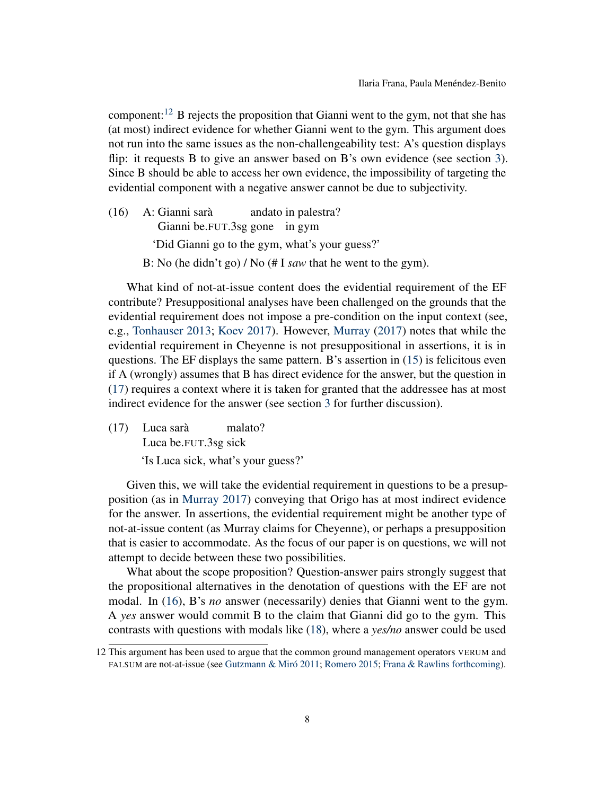component:<sup>[12](#page-0-0)</sup> B rejects the proposition that Gianni went to the gym, not that she has (at most) indirect evidence for whether Gianni went to the gym. This argument does not run into the same issues as the non-challengeability test: A's question displays flip: it requests B to give an answer based on B's own evidence (see section [3\)](#page-8-0). Since B should be able to access her own evidence, the impossibility of targeting the evidential component with a negative answer cannot be due to subjectivity.

<span id="page-7-0"></span>(16) A: Gianni sarà Gianni be.FUT.3sg gone in gym andato in palestra? 'Did Gianni go to the gym, what's your guess?' B: No (he didn't go) / No (# I *saw* that he went to the gym).

What kind of not-at-issue content does the evidential requirement of the EF contribute? Presuppositional analyses have been challenged on the grounds that the evidential requirement does not impose a pre-condition on the input context (see, e.g., [Tonhauser](#page-20-3) [2013;](#page-20-3) [Koev](#page-19-6) [2017\)](#page-19-6). However, [Murray](#page-19-8) [\(2017\)](#page-19-8) notes that while the evidential requirement in Cheyenne is not presuppositional in assertions, it is in questions. The EF displays the same pattern. B's assertion in [\(15\)](#page-6-1) is felicitous even if A (wrongly) assumes that B has direct evidence for the answer, but the question in [\(17\)](#page-7-1) requires a context where it is taken for granted that the addressee has at most indirect evidence for the answer (see section [3](#page-8-0) for further discussion).

<span id="page-7-1"></span>(17) Luca sarà Luca be.FUT.3sg sick malato? 'Is Luca sick, what's your guess?'

Given this, we will take the evidential requirement in questions to be a presupposition (as in [Murray](#page-19-8) [2017\)](#page-19-8) conveying that Origo has at most indirect evidence for the answer. In assertions, the evidential requirement might be another type of not-at-issue content (as Murray claims for Cheyenne), or perhaps a presupposition that is easier to accommodate. As the focus of our paper is on questions, we will not attempt to decide between these two possibilities.

What about the scope proposition? Question-answer pairs strongly suggest that the propositional alternatives in the denotation of questions with the EF are not modal. In [\(16\)](#page-7-0), B's *no* answer (necessarily) denies that Gianni went to the gym. A *yes* answer would commit B to the claim that Gianni did go to the gym. This contrasts with questions with modals like [\(18\)](#page-8-1), where a *yes/no* answer could be used

<sup>12</sup> This argument has been used to argue that the common ground management operators VERUM and FALSUM are not-at-issue (see [Gutzmann & Miró](#page-18-14) [2011;](#page-18-14) [Romero](#page-19-12) [2015;](#page-19-12) [Frana & Rawlins](#page-18-3) [forthcoming\)](#page-18-3).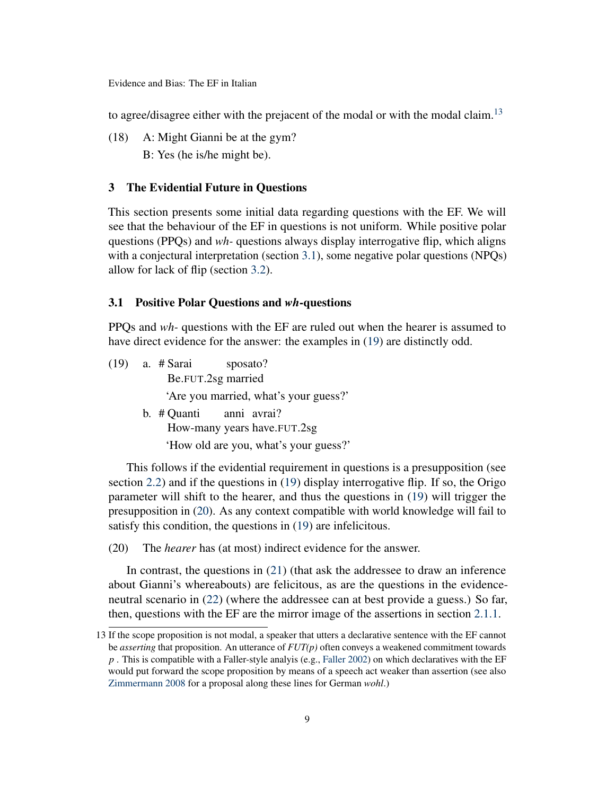to agree/disagree either with the prejacent of the modal or with the modal claim.<sup>[13](#page-0-0)</sup>

<span id="page-8-1"></span>(18) A: Might Gianni be at the gym? B: Yes (he is/he might be).

# <span id="page-8-0"></span>3 The Evidential Future in Questions

This section presents some initial data regarding questions with the EF. We will see that the behaviour of the EF in questions is not uniform. While positive polar questions (PPQs) and *wh-* questions always display interrogative flip, which aligns with a conjectural interpretation (section [3.1\)](#page-8-2), some negative polar questions (NPQs) allow for lack of flip (section [3.2\)](#page-9-0).

# <span id="page-8-2"></span>3.1 Positive Polar Questions and *wh*-questions

PPQs and *wh-* questions with the EF are ruled out when the hearer is assumed to have direct evidence for the answer: the examples in [\(19\)](#page-8-3) are distinctly odd.

<span id="page-8-3"></span>(19) a. # Sarai Be.FUT.2sg married sposato? 'Are you married, what's your guess?' b. # Quanti anni avrai?

How-many years have.FUT.2sg 'How old are you, what's your guess?'

This follows if the evidential requirement in questions is a presupposition (see section [2.2\)](#page-6-2) and if the questions in [\(19\)](#page-8-3) display interrogative flip. If so, the Origo parameter will shift to the hearer, and thus the questions in [\(19\)](#page-8-3) will trigger the presupposition in [\(20\)](#page-8-4). As any context compatible with world knowledge will fail to satisfy this condition, the questions in [\(19\)](#page-8-3) are infelicitous.

<span id="page-8-4"></span>(20) The *hearer* has (at most) indirect evidence for the answer.

In contrast, the questions in [\(21\)](#page-9-1) (that ask the addressee to draw an inference about Gianni's whereabouts) are felicitous, as are the questions in the evidenceneutral scenario in [\(22\)](#page-9-2) (where the addressee can at best provide a guess.) So far, then, questions with the EF are the mirror image of the assertions in section [2.1.1.](#page-3-1)

<sup>13</sup> If the scope proposition is not modal, a speaker that utters a declarative sentence with the EF cannot be *asserting* that proposition. An utterance of *FUT(p)* often conveys a weakened commitment towards *p* . This is compatible with a Faller-style analyis (e.g., [Faller](#page-18-4) [2002\)](#page-18-4) on which declaratives with the EF would put forward the scope proposition by means of a speech act weaker than assertion (see also [Zimmermann](#page-20-4) [2008](#page-20-4) for a proposal along these lines for German *wohl*.)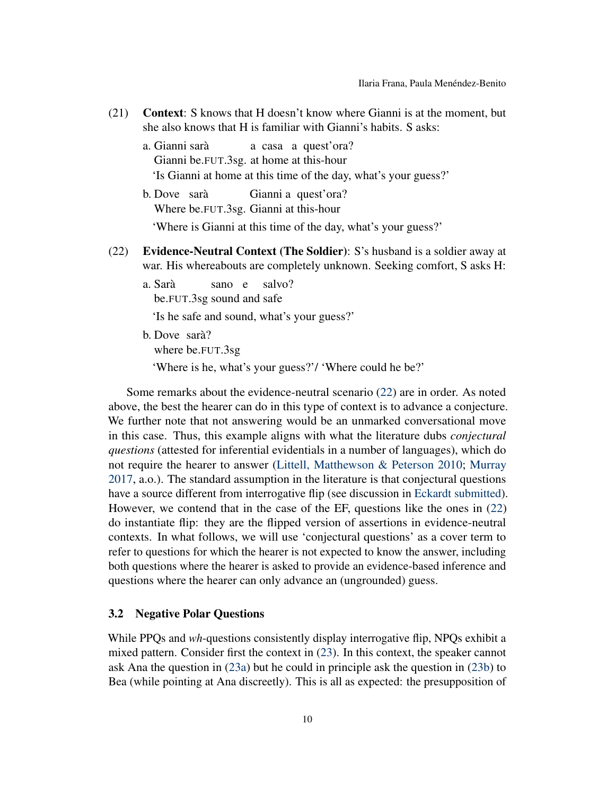- <span id="page-9-1"></span>(21) Context: S knows that H doesn't know where Gianni is at the moment, but she also knows that H is familiar with Gianni's habits. S asks:
	- a. Gianni sarà Gianni be.FUT.3sg. at home at this-hour a casa a quest'ora? 'Is Gianni at home at this time of the day, what's your guess?' b. Dove sarà Where be.FUT.3sg. Gianni at this-hour Gianni a quest'ora?

'Where is Gianni at this time of the day, what's your guess?'

- <span id="page-9-2"></span>(22) Evidence-Neutral Context (The Soldier): S's husband is a soldier away at war. His whereabouts are completely unknown. Seeking comfort, S asks H:
	- a. Sarà be.FUT.3sg sound and safe sano e salvo?

'Is he safe and sound, what's your guess?'

b. Dove sarà? where be.FUT.3sg 'Where is he, what's your guess?'/ 'Where could he be?'

Some remarks about the evidence-neutral scenario [\(22\)](#page-9-2) are in order. As noted above, the best the hearer can do in this type of context is to advance a conjecture. We further note that not answering would be an unmarked conversational move in this case. Thus, this example aligns with what the literature dubs *conjectural questions* (attested for inferential evidentials in a number of languages), which do not require the hearer to answer [\(Littell, Matthewson & Peterson](#page-19-13) [2010;](#page-19-13) [Murray](#page-19-8) [2017,](#page-19-8) a.o.). The standard assumption in the literature is that conjectural questions have a source different from interrogative flip (see discussion in [Eckardt](#page-18-15) [submitted\)](#page-18-15). However, we contend that in the case of the EF, questions like the ones in [\(22\)](#page-9-2) do instantiate flip: they are the flipped version of assertions in evidence-neutral contexts. In what follows, we will use 'conjectural questions' as a cover term to refer to questions for which the hearer is not expected to know the answer, including both questions where the hearer is asked to provide an evidence-based inference and questions where the hearer can only advance an (ungrounded) guess.

#### <span id="page-9-0"></span>3.2 Negative Polar Questions

While PPQs and *wh*-questions consistently display interrogative flip, NPQs exhibit a mixed pattern. Consider first the context in [\(23\)](#page-10-1). In this context, the speaker cannot ask Ana the question in [\(23a\)](#page-10-2) but he could in principle ask the question in [\(23b\)](#page-10-3) to Bea (while pointing at Ana discreetly). This is all as expected: the presupposition of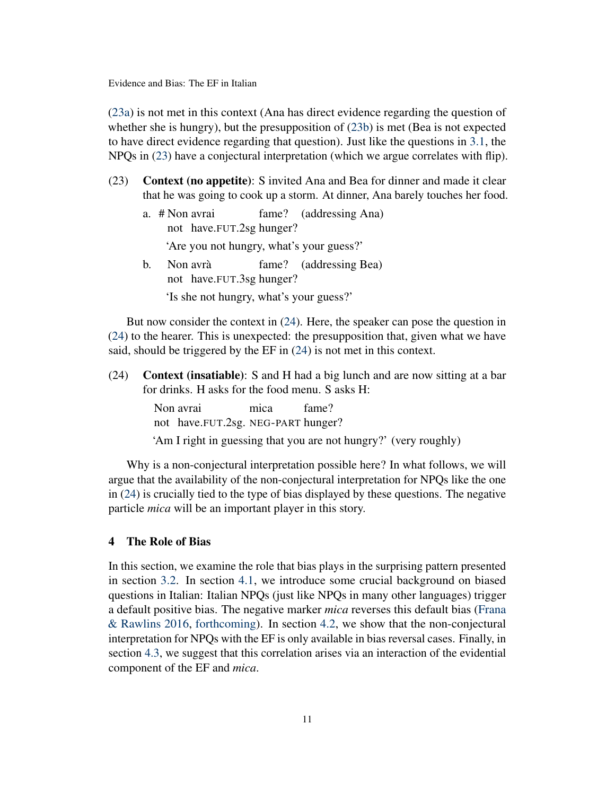[\(23a\)](#page-10-2) is not met in this context (Ana has direct evidence regarding the question of whether she is hungry), but the presupposition of [\(23b\)](#page-10-3) is met (Bea is not expected to have direct evidence regarding that question). Just like the questions in [3.1,](#page-8-2) the NPQs in [\(23\)](#page-10-1) have a conjectural interpretation (which we argue correlates with flip).

- <span id="page-10-2"></span><span id="page-10-1"></span>(23) Context (no appetite): S invited Ana and Bea for dinner and made it clear that he was going to cook up a storm. At dinner, Ana barely touches her food.
	- a. # Non avrai not have.FUT.2sg hunger? fame? (addressing Ana)

'Are you not hungry, what's your guess?'

<span id="page-10-3"></span>b. Non avrà not have.FUT.3sg hunger? fame? (addressing Bea) 'Is she not hungry, what's your guess?'

But now consider the context in [\(24\)](#page-10-4). Here, the speaker can pose the question in [\(24\)](#page-10-4) to the hearer. This is unexpected: the presupposition that, given what we have said, should be triggered by the EF in [\(24\)](#page-10-4) is not met in this context.

<span id="page-10-4"></span>(24) Context (insatiable): S and H had a big lunch and are now sitting at a bar for drinks. H asks for the food menu. S asks H:

> Non avrai not have.FUT.2sg. NEG-PART hunger? mica fame? 'Am I right in guessing that you are not hungry?' (very roughly)

Why is a non-conjectural interpretation possible here? In what follows, we will argue that the availability of the non-conjectural interpretation for NPQs like the one in [\(24\)](#page-10-4) is crucially tied to the type of bias displayed by these questions. The negative particle *mica* will be an important player in this story.

# <span id="page-10-0"></span>4 The Role of Bias

In this section, we examine the role that bias plays in the surprising pattern presented in section [3.2.](#page-9-0) In section [4.1,](#page-11-0) we introduce some crucial background on biased questions in Italian: Italian NPQs (just like NPQs in many other languages) trigger a default positive bias. The negative marker *mica* reverses this default bias [\(Frana](#page-18-16) [& Rawlins](#page-18-16) [2016,](#page-18-16) [forthcoming\)](#page-18-3). In section [4.2,](#page-12-0) we show that the non-conjectural interpretation for NPQs with the EF is only available in bias reversal cases. Finally, in section [4.3,](#page-13-0) we suggest that this correlation arises via an interaction of the evidential component of the EF and *mica*.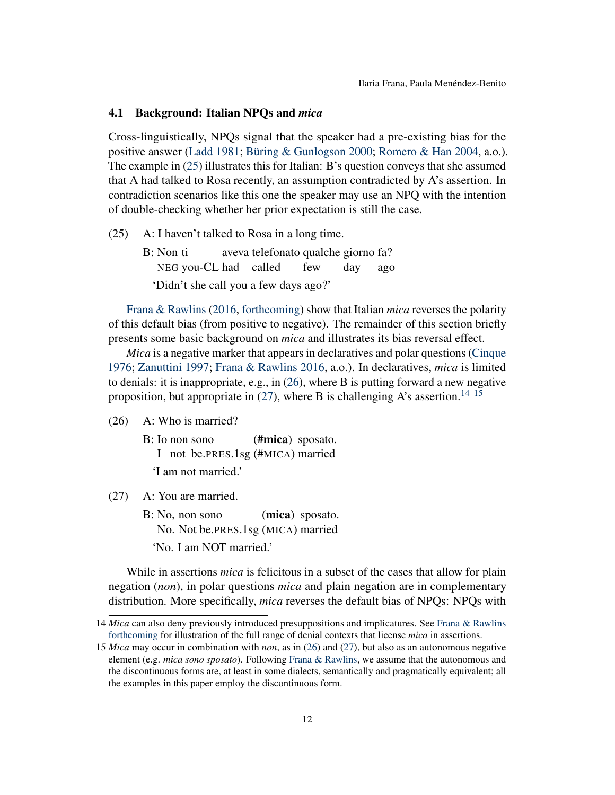#### <span id="page-11-0"></span>4.1 Background: Italian NPQs and *mica*

Cross-linguistically, NPQs signal that the speaker had a pre-existing bias for the positive answer [\(Ladd](#page-19-14) [1981;](#page-19-14) [Büring & Gunlogson](#page-18-17) [2000;](#page-18-17) [Romero & Han](#page-19-15) [2004,](#page-19-15) a.o.). The example in [\(25\)](#page-11-1) illustrates this for Italian: B's question conveys that she assumed that A had talked to Rosa recently, an assumption contradicted by A's assertion. In contradiction scenarios like this one the speaker may use an NPQ with the intention of double-checking whether her prior expectation is still the case.

- <span id="page-11-1"></span>(25) A: I haven't talked to Rosa in a long time.
	- B: Non ti NEG you-CL had called aveva telefonato qualche giorno fa? few day ago 'Didn't she call you a few days ago?'

[Frana & Rawlins](#page-18-16) [\(2016,](#page-18-16) [forthcoming\)](#page-18-3) show that Italian *mica* reverses the polarity of this default bias (from positive to negative). The remainder of this section briefly presents some basic background on *mica* and illustrates its bias reversal effect.

*Mica* is a negative marker that appears in declaratives and polar questions [\(Cinque](#page-18-18) [1976;](#page-18-18) [Zanuttini](#page-20-5) [1997;](#page-20-5) [Frana & Rawlins](#page-18-16) [2016,](#page-18-16) a.o.). In declaratives, *mica* is limited to denials: it is inappropriate, e.g., in [\(26\)](#page-11-2), where B is putting forward a new negative proposition, but appropriate in  $(27)$ , where B is challenging A's assertion.<sup>[14](#page-0-0) [15](#page-0-0)</sup>

- <span id="page-11-2"></span>(26) A: Who is married?
	- B: Io non sono I not be.PRES.1sg (#MICA) married (#mica) sposato.
		- 'I am not married.'
- <span id="page-11-3"></span>(27) A: You are married.
	- B: No, non sono No. Not be.PRES.1sg (MICA) married (mica) sposato. 'No. I am NOT married.'

While in assertions *mica* is felicitous in a subset of the cases that allow for plain negation (*non*), in polar questions *mica* and plain negation are in complementary distribution. More specifically, *mica* reverses the default bias of NPQs: NPQs with

<sup>14</sup> *Mica* can also deny previously introduced presuppositions and implicatures. See [Frana & Rawlins](#page-18-3) [forthcoming](#page-18-3) for illustration of the full range of denial contexts that license *mica* in assertions.

<sup>15</sup> *Mica* may occur in combination with *non*, as in [\(26\)](#page-11-2) and [\(27\)](#page-11-3), but also as an autonomous negative element (e.g. *mica sono sposato*). Following [Frana & Rawlins,](#page-18-3) we assume that the autonomous and the discontinuous forms are, at least in some dialects, semantically and pragmatically equivalent; all the examples in this paper employ the discontinuous form.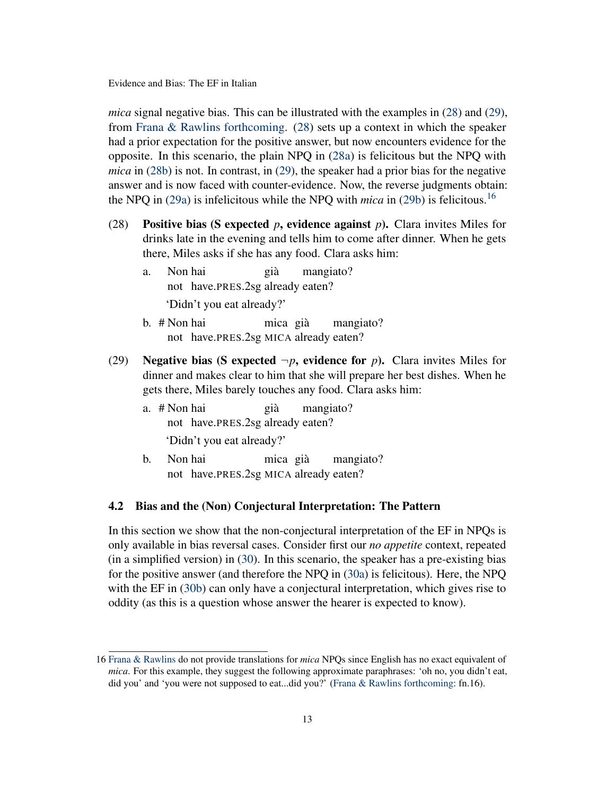*mica* signal negative bias. This can be illustrated with the examples in [\(28\)](#page-12-1) and [\(29\)](#page-12-2), from [Frana & Rawlins](#page-18-3) [forthcoming.](#page-18-3) [\(28\)](#page-12-1) sets up a context in which the speaker had a prior expectation for the positive answer, but now encounters evidence for the opposite. In this scenario, the plain NPQ in [\(28a\)](#page-12-3) is felicitous but the NPQ with *mica* in [\(28b\)](#page-12-4) is not. In contrast, in [\(29\)](#page-12-2), the speaker had a prior bias for the negative answer and is now faced with counter-evidence. Now, the reverse judgments obtain: the NPQ in [\(29a\)](#page-12-5) is infelicitous while the NPQ with *mica* in [\(29b\)](#page-12-6) is felicitous.[16](#page-0-0)

- <span id="page-12-3"></span><span id="page-12-1"></span>(28) Positive bias (S expected *p*, evidence against *p*). Clara invites Miles for drinks late in the evening and tells him to come after dinner. When he gets there, Miles asks if she has any food. Clara asks him:
	- a. Non hai not have.PRES.2sg already eaten? già mangiato? 'Didn't you eat already?'
	- b. # Non hai not have.PRES.2sg MICA already eaten? mica già mangiato?
- <span id="page-12-5"></span><span id="page-12-4"></span><span id="page-12-2"></span>(29) Negative bias (S expected  $\neg p$ , evidence for *p*). Clara invites Miles for dinner and makes clear to him that she will prepare her best dishes. When he gets there, Miles barely touches any food. Clara asks him:
	- a. # Non hai not have.PRES.2sg already eaten? già mangiato? 'Didn't you eat already?'
	- b. Non hai not have.PRES.2sg MICA already eaten? mica già mangiato?

#### <span id="page-12-6"></span><span id="page-12-0"></span>4.2 Bias and the (Non) Conjectural Interpretation: The Pattern

In this section we show that the non-conjectural interpretation of the EF in NPQs is only available in bias reversal cases. Consider first our *no appetite* context, repeated (in a simplified version) in [\(30\)](#page-13-1). In this scenario, the speaker has a pre-existing bias for the positive answer (and therefore the NPQ in [\(30a\)](#page-13-2) is felicitous). Here, the NPQ with the EF in [\(30b\)](#page-13-3) can only have a conjectural interpretation, which gives rise to oddity (as this is a question whose answer the hearer is expected to know).

<sup>16</sup> [Frana & Rawlins](#page-18-3) do not provide translations for *mica* NPQs since English has no exact equivalent of *mica*. For this example, they suggest the following approximate paraphrases: 'oh no, you didn't eat, did you' and 'you were not supposed to eat...did you?' [\(Frana & Rawlins](#page-18-3) [forthcoming:](#page-18-3) fn.16).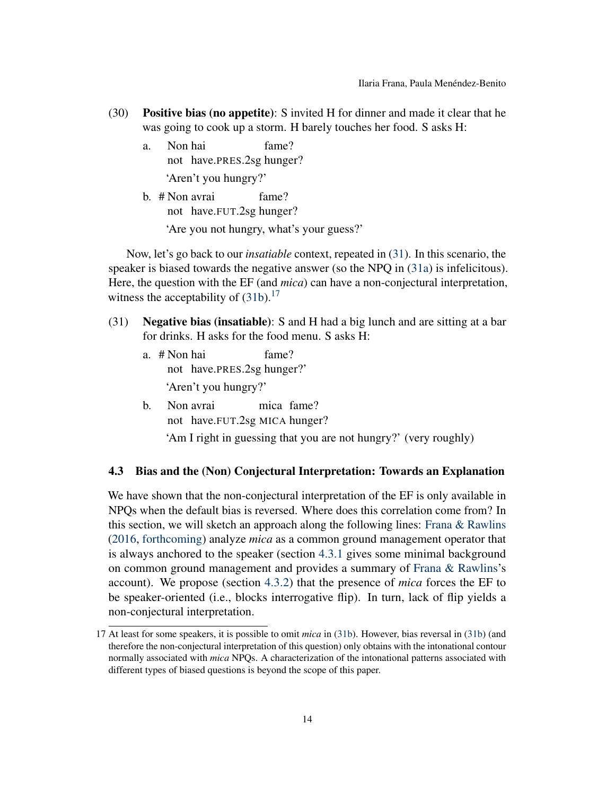- <span id="page-13-2"></span><span id="page-13-1"></span>(30) Positive bias (no appetite): S invited H for dinner and made it clear that he was going to cook up a storm. H barely touches her food. S asks H:
	- a. Non hai not have.PRES.2sg hunger? fame? 'Aren't you hungry?'
	- b. # Non avrai not have.FUT.2sg hunger? fame? 'Are you not hungry, what's your guess?'

<span id="page-13-3"></span>Now, let's go back to our *insatiable* context, repeated in [\(31\)](#page-13-4). In this scenario, the speaker is biased towards the negative answer (so the NPQ in [\(31a\)](#page-13-5) is infelicitous). Here, the question with the EF (and *mica*) can have a non-conjectural interpretation, witness the acceptability of  $(31b)$ .<sup>[17](#page-0-0)</sup>

- <span id="page-13-5"></span><span id="page-13-4"></span>(31) Negative bias (insatiable): S and H had a big lunch and are sitting at a bar for drinks. H asks for the food menu. S asks H:
	- a. # Non hai not have.PRES.2sg hunger?' fame? 'Aren't you hungry?'
	- b. Non avrai not have.FUT.2sg MICA hunger? mica fame?

<span id="page-13-6"></span>'Am I right in guessing that you are not hungry?' (very roughly)

### <span id="page-13-0"></span>4.3 Bias and the (Non) Conjectural Interpretation: Towards an Explanation

We have shown that the non-conjectural interpretation of the EF is only available in NPQs when the default bias is reversed. Where does this correlation come from? In this section, we will sketch an approach along the following lines: [Frana & Rawlins](#page-18-16) [\(2016,](#page-18-16) [forthcoming\)](#page-18-3) analyze *mica* as a common ground management operator that is always anchored to the speaker (section [4.3.1](#page-14-0) gives some minimal background on common ground management and provides a summary of [Frana & Rawlins'](#page-18-3)s account). We propose (section [4.3.2\)](#page-16-0) that the presence of *mica* forces the EF to be speaker-oriented (i.e., blocks interrogative flip). In turn, lack of flip yields a non-conjectural interpretation.

<sup>17</sup> At least for some speakers, it is possible to omit *mica* in [\(31b\)](#page-13-6). However, bias reversal in [\(31b\)](#page-13-6) (and therefore the non-conjectural interpretation of this question) only obtains with the intonational contour normally associated with *mica* NPQs. A characterization of the intonational patterns associated with different types of biased questions is beyond the scope of this paper.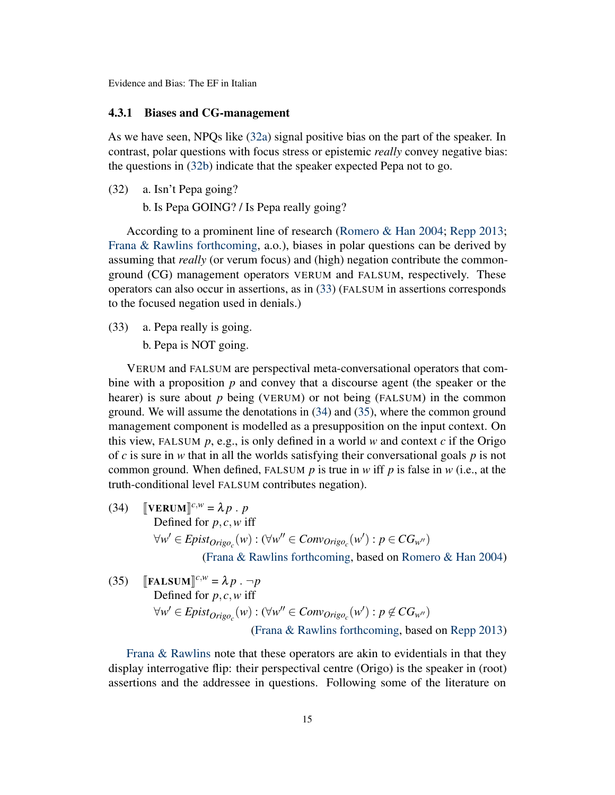#### <span id="page-14-0"></span>4.3.1 Biases and CG-management

As we have seen, NPQs like [\(32a\)](#page-14-1) signal positive bias on the part of the speaker. In contrast, polar questions with focus stress or epistemic *really* convey negative bias: the questions in [\(32b\)](#page-14-2) indicate that the speaker expected Pepa not to go.

<span id="page-14-2"></span><span id="page-14-1"></span>(32) a. Isn't Pepa going?

b. Is Pepa GOING? / Is Pepa really going?

According to a prominent line of research [\(Romero & Han](#page-19-15) [2004;](#page-19-15) [Repp](#page-19-16) [2013;](#page-19-16) [Frana & Rawlins](#page-18-3) [forthcoming,](#page-18-3) a.o.), biases in polar questions can be derived by assuming that *really* (or verum focus) and (high) negation contribute the commonground (CG) management operators VERUM and FALSUM, respectively. These operators can also occur in assertions, as in [\(33\)](#page-14-3) (FALSUM in assertions corresponds to the focused negation used in denials.)

<span id="page-14-3"></span>(33) a. Pepa really is going.

b. Pepa is NOT going.

VERUM and FALSUM are perspectival meta-conversational operators that combine with a proposition *p* and convey that a discourse agent (the speaker or the hearer) is sure about *p* being (VERUM) or not being (FALSUM) in the common ground. We will assume the denotations in [\(34\)](#page-14-4) and [\(35\)](#page-14-5), where the common ground management component is modelled as a presupposition on the input context. On this view, FALSUM  $p$ , e.g., is only defined in a world  $w$  and context  $c$  if the Origo of *c* is sure in *w* that in all the worlds satisfying their conversational goals *p* is not common ground. When defined, FALSUM *p* is true in *w* iff *p* is false in *w* (i.e., at the truth-conditional level FALSUM contributes negation).

<span id="page-14-4"></span>(34)  $\left[\text{VERUM}\right]^{c,w} = \lambda p \cdot p$ <br>Defined for *p* a wi Defined for *p*, *c*,*w* iff  $\forall w' \in Epist_{Origo_c}(w) : (\forall w'' \in Conv_{origo_c}(w') : p \in CG_{w''})$ 

[\(Frana & Rawlins](#page-18-3) [forthcoming,](#page-18-3) based on [Romero & Han](#page-19-15) [2004\)](#page-19-15)

<span id="page-14-5"></span>(35) 
$$
\llbracket \textbf{FALSEUM} \rrbracket^{c,w} = \lambda p \cdot \neg p
$$
  
Defined for  $p, c, w$  iff  

$$
\forall w' \in Epist_{Origo_c}(w) : (\forall w'' \in Conv_{Origo_c}(w') : p \notin CG_{w''})
$$
  
(Frana & Rawlins forthcoming, based on Repp 2013)

[Frana & Rawlins](#page-18-3) note that these operators are akin to evidentials in that they display interrogative flip: their perspectival centre (Origo) is the speaker in (root) assertions and the addressee in questions. Following some of the literature on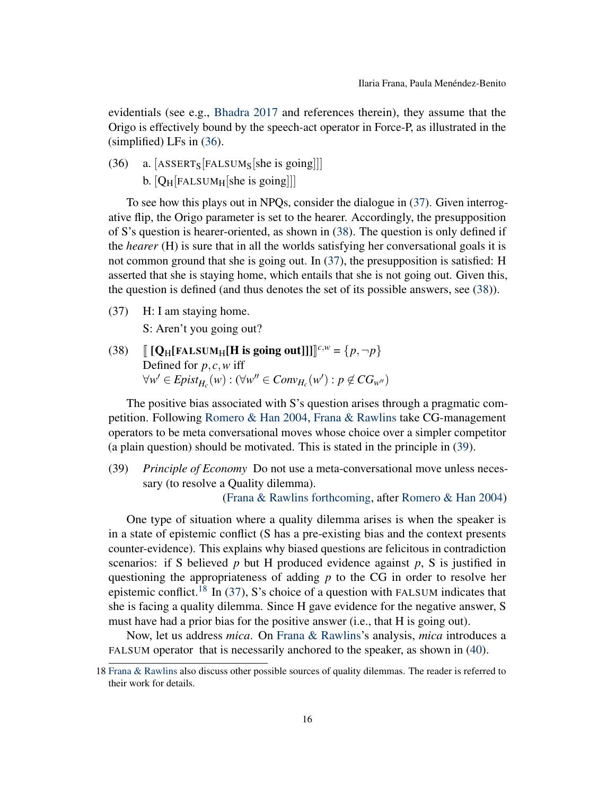evidentials (see e.g., [Bhadra](#page-18-1) [2017](#page-18-1) and references therein), they assume that the Origo is effectively bound by the speech-act operator in Force-P, as illustrated in the (simplified) LFs in [\(36\)](#page-15-0).

<span id="page-15-0"></span>(36) a. [ASSERT<sub>S</sub>[FALSUM<sub>S</sub>[she is going]]] b.  $[Q_H[FALSEUM_H[she is going]]]$ 

To see how this plays out in NPQs, consider the dialogue in [\(37\)](#page-15-1). Given interrogative flip, the Origo parameter is set to the hearer. Accordingly, the presupposition of S's question is hearer-oriented, as shown in [\(38\)](#page-15-2). The question is only defined if the *hearer* (H) is sure that in all the worlds satisfying her conversational goals it is not common ground that she is going out. In [\(37\)](#page-15-1), the presupposition is satisfied: H asserted that she is staying home, which entails that she is not going out. Given this, the question is defined (and thus denotes the set of its possible answers, see [\(38\)](#page-15-2)).

<span id="page-15-1"></span>(37) H: I am staying home.

S: Aren't you going out?

<span id="page-15-2"></span>(38)  $\left[ [\mathbf{Q}_{\text{H}}[\text{FALSUM}_{\text{H}}[\text{H is going out}]]] \right]^{c,w} = \{p, \neg p\}$ Defined for *p*, *c*,*w* iff  $\forall w' \in Epi_{H_c}(w) : (\forall w'' \in Conv_{H_c}(w') : p \notin CG_{w''})$ 

The positive bias associated with S's question arises through a pragmatic competition. Following [Romero & Han](#page-19-15) [2004,](#page-19-15) [Frana & Rawlins](#page-18-16) take CG-management operators to be meta conversational moves whose choice over a simpler competitor (a plain question) should be motivated. This is stated in the principle in [\(39\)](#page-15-3).

<span id="page-15-3"></span>(39) *Principle of Economy* Do not use a meta-conversational move unless necessary (to resolve a Quality dilemma).

[\(Frana & Rawlins](#page-18-3) [forthcoming,](#page-18-3) after [Romero & Han](#page-19-15) [2004\)](#page-19-15)

One type of situation where a quality dilemma arises is when the speaker is in a state of epistemic conflict (S has a pre-existing bias and the context presents counter-evidence). This explains why biased questions are felicitous in contradiction scenarios: if S believed  $p$  but H produced evidence against  $p$ , S is justified in questioning the appropriateness of adding *p* to the CG in order to resolve her epistemic conflict.<sup>[18](#page-0-0)</sup> In [\(37\)](#page-15-1), S's choice of a question with FALSUM indicates that she is facing a quality dilemma. Since H gave evidence for the negative answer, S must have had a prior bias for the positive answer (i.e., that H is going out).

Now, let us address *mica*. On [Frana & Rawlins'](#page-18-3)s analysis, *mica* introduces a FALSUM operator that is necessarily anchored to the speaker, as shown in [\(40\)](#page-16-1).

<sup>18</sup> [Frana & Rawlins](#page-18-3) also discuss other possible sources of quality dilemmas. The reader is referred to their work for details.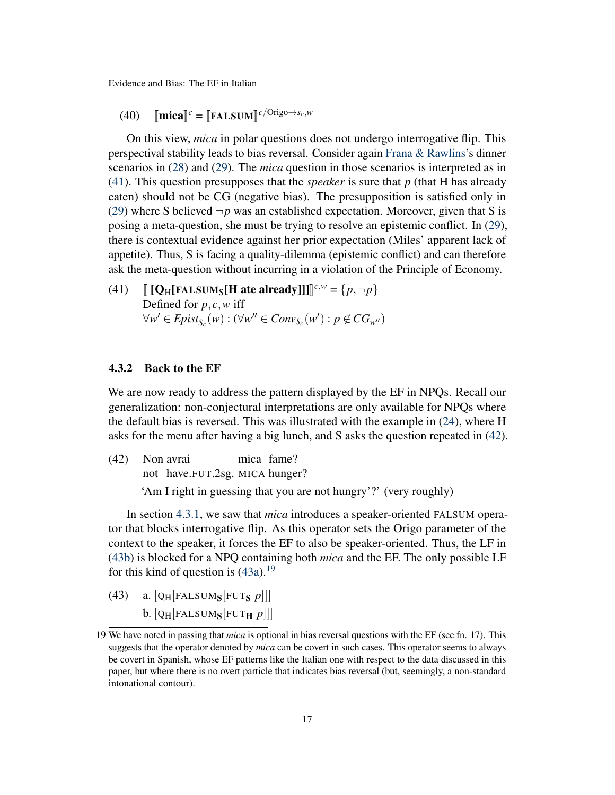<span id="page-16-1"></span> $(40)$   $[\text{mica}]^c = [\text{FALSUM}]^{c/Origo \rightarrow s_c,w}$ 

On this view, *mica* in polar questions does not undergo interrogative flip. This perspectival stability leads to bias reversal. Consider again [Frana & Rawlins'](#page-18-3)s dinner scenarios in [\(28\)](#page-12-1) and [\(29\)](#page-12-2). The *mica* question in those scenarios is interpreted as in [\(41\)](#page-16-2). This question presupposes that the *speaker* is sure that *p* (that H has already eaten) should not be CG (negative bias). The presupposition is satisfied only in [\(29\)](#page-12-2) where S believed  $\neg p$  was an established expectation. Moreover, given that S is posing a meta-question, she must be trying to resolve an epistemic conflict. In [\(29\)](#page-12-2), there is contextual evidence against her prior expectation (Miles' apparent lack of appetite). Thus, S is facing a quality-dilemma (epistemic conflict) and can therefore ask the meta-question without incurring in a violation of the Principle of Economy.

<span id="page-16-2"></span>(41)  $\left[ [\mathbf{Q}_{\text{H}}[\text{FALSUM}_{\text{S}}[\mathbf{H}] \text{ate already}]] \right] \right]^{c,w} = \{p, \neg p\}$ Defined for *p*, *c*,*w* iff  $\forall w' \in Epist_{S_c}(w) : (\forall w'' \in Conv_{S_c}(w') : p \notin CG_{w''})$ 

#### <span id="page-16-0"></span>4.3.2 Back to the EF

We are now ready to address the pattern displayed by the EF in NPQs. Recall our generalization: non-conjectural interpretations are only available for NPQs where the default bias is reversed. This was illustrated with the example in [\(24\)](#page-10-4), where H asks for the menu after having a big lunch, and S asks the question repeated in [\(42\)](#page-16-3).

<span id="page-16-3"></span> $(42)$ not have.FUT.2sg. MICA hunger? Non avrai mica fame? 'Am I right in guessing that you are not hungry'?' (very roughly)

In section [4.3.1,](#page-14-0) we saw that *mica* introduces a speaker-oriented FALSUM operator that blocks interrogative flip. As this operator sets the Origo parameter of the context to the speaker, it forces the EF to also be speaker-oriented. Thus, the LF in [\(43b\)](#page-16-4) is blocked for a NPQ containing both *mica* and the EF. The only possible LF for this kind of question is  $(43a)$ .<sup>[19](#page-0-0)</sup>

<span id="page-16-5"></span><span id="page-16-4"></span>(43) a.  $[Q_H[FALSEUM_S[FUT_S p]]]$ b.  $[Q_H[FALSEUM_S[FWT_H p]]]$ 

<sup>19</sup> We have noted in passing that *mica* is optional in bias reversal questions with the EF (see fn. 17). This suggests that the operator denoted by *mica* can be covert in such cases. This operator seems to always be covert in Spanish, whose EF patterns like the Italian one with respect to the data discussed in this paper, but where there is no overt particle that indicates bias reversal (but, seemingly, a non-standard intonational contour).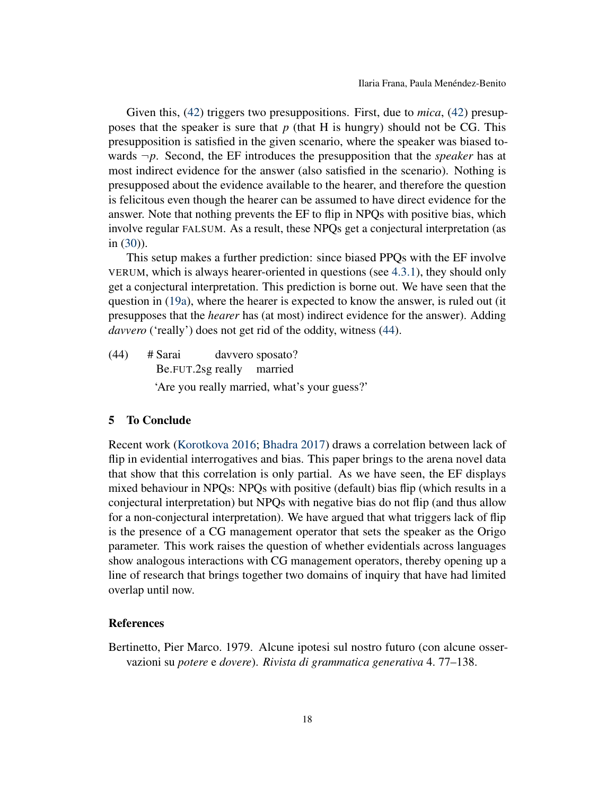Given this, [\(42\)](#page-16-3) triggers two presuppositions. First, due to *mica*, [\(42\)](#page-16-3) presupposes that the speaker is sure that *p* (that H is hungry) should not be CG. This presupposition is satisfied in the given scenario, where the speaker was biased towards  $\neg p$ . Second, the EF introduces the presupposition that the *speaker* has at most indirect evidence for the answer (also satisfied in the scenario). Nothing is presupposed about the evidence available to the hearer, and therefore the question is felicitous even though the hearer can be assumed to have direct evidence for the answer. Note that nothing prevents the EF to flip in NPQs with positive bias, which involve regular FALSUM. As a result, these NPQs get a conjectural interpretation (as in [\(30\)](#page-13-1)).

This setup makes a further prediction: since biased PPQs with the EF involve VERUM, which is always hearer-oriented in questions (see [4.3.1\)](#page-14-0), they should only get a conjectural interpretation. This prediction is borne out. We have seen that the question in [\(19a\)](#page-8-3), where the hearer is expected to know the answer, is ruled out (it presupposes that the *hearer* has (at most) indirect evidence for the answer). Adding davvero ('really') does not get rid of the oddity, witness [\(44\)](#page-17-2).

<span id="page-17-2"></span> $(44)$  # Sarai Be.FUT.2sg really married davvero sposato? 'Are you really married, what's your guess?'

# <span id="page-17-0"></span>5 To Conclude

Recent work [\(Korotkova](#page-19-0) [2016;](#page-19-0) [Bhadra](#page-18-1) [2017\)](#page-18-1) draws a correlation between lack of flip in evidential interrogatives and bias. This paper brings to the arena novel data that show that this correlation is only partial. As we have seen, the EF displays mixed behaviour in NPQs: NPQs with positive (default) bias flip (which results in a conjectural interpretation) but NPQs with negative bias do not flip (and thus allow for a non-conjectural interpretation). We have argued that what triggers lack of flip is the presence of a CG management operator that sets the speaker as the Origo parameter. This work raises the question of whether evidentials across languages show analogous interactions with CG management operators, thereby opening up a line of research that brings together two domains of inquiry that have had limited overlap until now.

# **References**

<span id="page-17-1"></span>Bertinetto, Pier Marco. 1979. Alcune ipotesi sul nostro futuro (con alcune osservazioni su *potere* e *dovere*). *Rivista di grammatica generativa* 4. 77–138.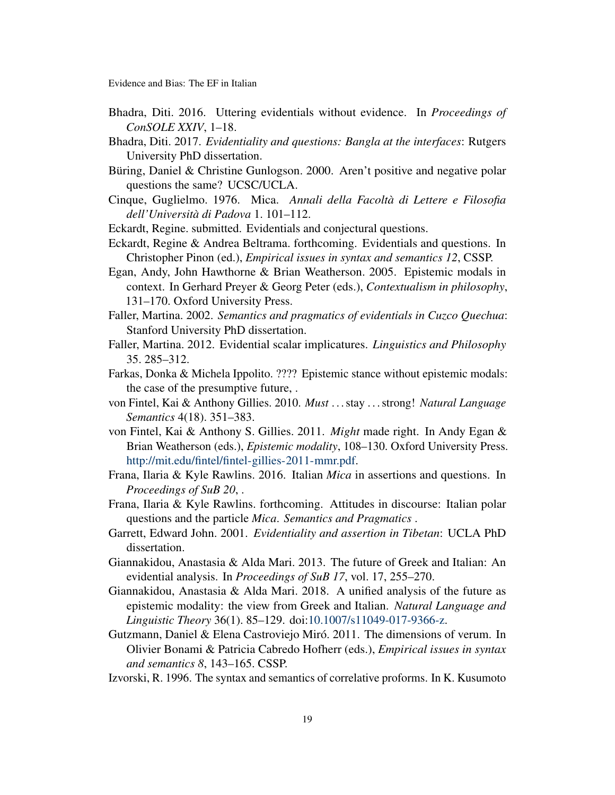- <span id="page-18-10"></span>Bhadra, Diti. 2016. Uttering evidentials without evidence. In *Proceedings of ConSOLE XXIV*, 1–18.
- <span id="page-18-1"></span>Bhadra, Diti. 2017. *Evidentiality and questions: Bangla at the interfaces*: Rutgers University PhD dissertation.
- <span id="page-18-17"></span>Büring, Daniel & Christine Gunlogson. 2000. Aren't positive and negative polar questions the same? UCSC/UCLA.
- <span id="page-18-18"></span>Cinque, Guglielmo. 1976. Mica. *Annali della Facoltà di Lettere e Filosofia dell'Università di Padova* 1. 101–112.
- <span id="page-18-15"></span>Eckardt, Regine. submitted. Evidentials and conjectural questions.
- <span id="page-18-2"></span>Eckardt, Regine & Andrea Beltrama. forthcoming. Evidentials and questions. In Christopher Pinon (ed.), *Empirical issues in syntax and semantics 12*, CSSP.
- <span id="page-18-12"></span>Egan, Andy, John Hawthorne & Brian Weatherson. 2005. Epistemic modals in context. In Gerhard Preyer & Georg Peter (eds.), *Contextualism in philosophy*, 131–170. Oxford University Press.
- <span id="page-18-4"></span>Faller, Martina. 2002. *Semantics and pragmatics of evidentials in Cuzco Quechua*: Stanford University PhD dissertation.
- <span id="page-18-13"></span>Faller, Martina. 2012. Evidential scalar implicatures. *Linguistics and Philosophy* 35. 285–312.
- <span id="page-18-8"></span>Farkas, Donka & Michela Ippolito. ???? Epistemic stance without epistemic modals: the case of the presumptive future, .
- <span id="page-18-9"></span>von Fintel, Kai & Anthony Gillies. 2010. *Must* . . . stay . . . strong! *Natural Language Semantics* 4(18). 351–383.
- <span id="page-18-11"></span>von Fintel, Kai & Anthony S. Gillies. 2011. *Might* made right. In Andy Egan & Brian Weatherson (eds.), *Epistemic modality*, 108–130. Oxford University Press. [http://mit.edu/fintel/fintel-gillies-2011-mmr.pdf.](http://mit.edu/fintel/fintel-gillies-2011-mmr.pdf)
- <span id="page-18-16"></span>Frana, Ilaria & Kyle Rawlins. 2016. Italian *Mica* in assertions and questions. In *Proceedings of SuB 20*, .
- <span id="page-18-3"></span>Frana, Ilaria & Kyle Rawlins. forthcoming. Attitudes in discourse: Italian polar questions and the particle *Mica*. *Semantics and Pragmatics* .
- <span id="page-18-0"></span>Garrett, Edward John. 2001. *Evidentiality and assertion in Tibetan*: UCLA PhD dissertation.
- <span id="page-18-5"></span>Giannakidou, Anastasia & Alda Mari. 2013. The future of Greek and Italian: An evidential analysis. In *Proceedings of SuB 17*, vol. 17, 255–270.
- <span id="page-18-6"></span>Giannakidou, Anastasia & Alda Mari. 2018. A unified analysis of the future as epistemic modality: the view from Greek and Italian. *Natural Language and Linguistic Theory* 36(1). 85–129. doi[:10.1007/s11049-017-9366-z.](https://doi.org/10.1007/s11049-017-9366-z)
- <span id="page-18-14"></span>Gutzmann, Daniel & Elena Castroviejo Miró. 2011. The dimensions of verum. In Olivier Bonami & Patricia Cabredo Hofherr (eds.), *Empirical issues in syntax and semantics 8*, 143–165. CSSP.
- <span id="page-18-7"></span>Izvorski, R. 1996. The syntax and semantics of correlative proforms. In K. Kusumoto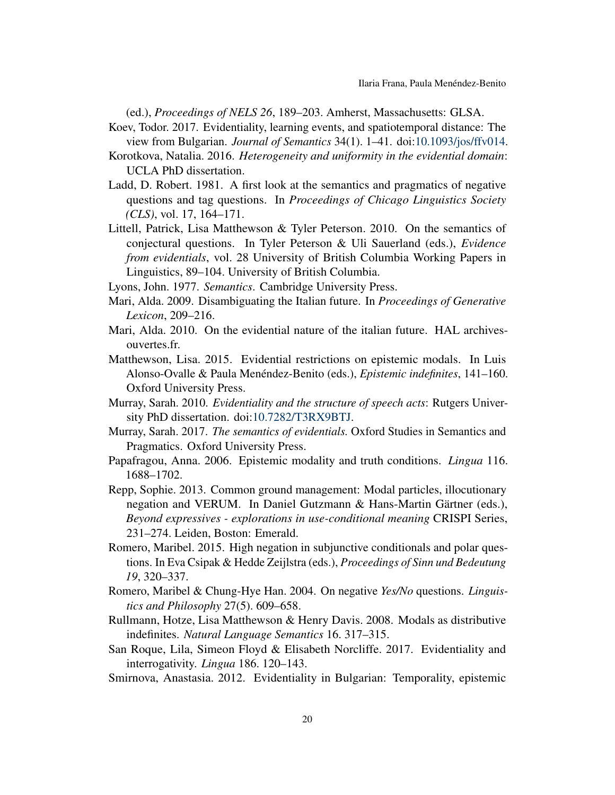(ed.), *Proceedings of NELS 26*, 189–203. Amherst, Massachusetts: GLSA.

- <span id="page-19-6"></span>Koev, Todor. 2017. Evidentiality, learning events, and spatiotemporal distance: The view from Bulgarian. *Journal of Semantics* 34(1). 1–41. doi[:10.1093/jos/ffv014.](https://doi.org/10.1093/jos/ffv014)
- <span id="page-19-0"></span>Korotkova, Natalia. 2016. *Heterogeneity and uniformity in the evidential domain*: UCLA PhD dissertation.
- <span id="page-19-14"></span>Ladd, D. Robert. 1981. A first look at the semantics and pragmatics of negative questions and tag questions. In *Proceedings of Chicago Linguistics Society (CLS)*, vol. 17, 164–171.
- <span id="page-19-13"></span>Littell, Patrick, Lisa Matthewson & Tyler Peterson. 2010. On the semantics of conjectural questions. In Tyler Peterson & Uli Sauerland (eds.), *Evidence from evidentials*, vol. 28 University of British Columbia Working Papers in Linguistics, 89–104. University of British Columbia.
- <span id="page-19-11"></span>Lyons, John. 1977. *Semantics*. Cambridge University Press.
- <span id="page-19-2"></span>Mari, Alda. 2009. Disambiguating the Italian future. In *Proceedings of Generative Lexicon*, 209–216.
- <span id="page-19-4"></span>Mari, Alda. 2010. On the evidential nature of the italian future. HAL archivesouvertes.fr.
- <span id="page-19-7"></span>Matthewson, Lisa. 2015. Evidential restrictions on epistemic modals. In Luis Alonso-Ovalle & Paula Menéndez-Benito (eds.), *Epistemic indefinites*, 141–160. Oxford University Press.
- <span id="page-19-3"></span>Murray, Sarah. 2010. *Evidentiality and the structure of speech acts*: Rutgers University PhD dissertation. doi[:10.7282/T3RX9BTJ.](https://doi.org/10.7282/T3RX9BTJ)
- <span id="page-19-8"></span>Murray, Sarah. 2017. *The semantics of evidentials.* Oxford Studies in Semantics and Pragmatics. Oxford University Press.
- <span id="page-19-10"></span>Papafragou, Anna. 2006. Epistemic modality and truth conditions. *Lingua* 116. 1688–1702.
- <span id="page-19-16"></span>Repp, Sophie. 2013. Common ground management: Modal particles, illocutionary negation and VERUM. In Daniel Gutzmann & Hans-Martin Gärtner (eds.), *Beyond expressives - explorations in use-conditional meaning* CRISPI Series, 231–274. Leiden, Boston: Emerald.
- <span id="page-19-12"></span>Romero, Maribel. 2015. High negation in subjunctive conditionals and polar questions. In Eva Csipak & Hedde Zeijlstra (eds.), *Proceedings of Sinn und Bedeutung 19*, 320–337.
- <span id="page-19-15"></span>Romero, Maribel & Chung-Hye Han. 2004. On negative *Yes/No* questions. *Linguistics and Philosophy* 27(5). 609–658.
- <span id="page-19-9"></span>Rullmann, Hotze, Lisa Matthewson & Henry Davis. 2008. Modals as distributive indefinites. *Natural Language Semantics* 16. 317–315.
- <span id="page-19-1"></span>San Roque, Lila, Simeon Floyd & Elisabeth Norcliffe. 2017. Evidentiality and interrogativity. *Lingua* 186. 120–143.
- <span id="page-19-5"></span>Smirnova, Anastasia. 2012. Evidentiality in Bulgarian: Temporality, epistemic